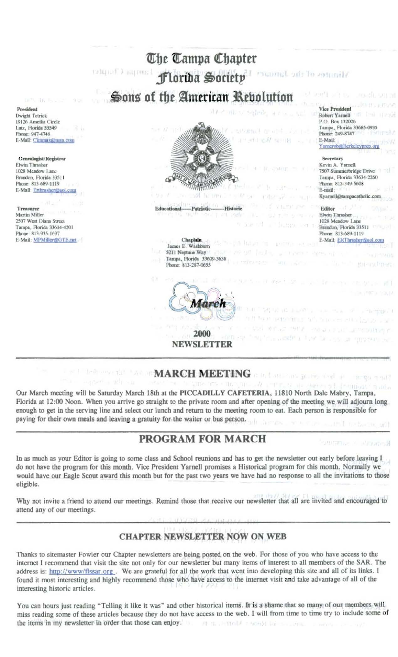

# **MARCH MEETING**

Our March meeting will be Saturday March 18th at the PICCADILLY CAFETERIA, 11810 North Dale Mabry, Tampa, Florida at 12:00 Noon. When you arrive go straight to the private room and after opening of the meeting we will adjourn long enough to get in the serving line and select our lunch and return to the meeting room to eat. Each person is responsible for paying for their own meals and leaving a gratuity for the waiter or bus person.

## PROGRAM FOR MARCH

**ROCEAL** 

are an term and an

In as much as your Editor is going to some class and School reunions and has to get the newsletter out early before leaving I do not have the program for this month. Vice President Yarnell promises a Historical program for this month. Normally we would have our Eagle Scout award this month but for the past two years we have had no response to all the invitations to those eligible.

Why not invite a friend to attend our meetings. Remind those that receive our newsletter that all are invited and encouraged to attend any of our meetings.

### **CHAPTER NEWSLETTER NOW ON WEB**

Thanks to sitemaster Fowler our Chapter newsletters are being posted on the web. For those of you who have access to the internet I recommend that visit the site not only for our newsletter but many items of interest to all members of the SAR. The address is: http://www/flssar.org. We are grateful for all the work that went into developing this site and all of its links. I found it most interesting and highly recommend those who have access to the internet visit and take advantage of all of the interesting historic articles.

You can hours just reading "Telling it like it was" and other historical items. It is a shame that so many of our members will miss reading some of these articles because they do not have access to the web. I will from time to time try to include some of the items in my newsletter in order that those can enjoy. art in Jerred A recent for the per-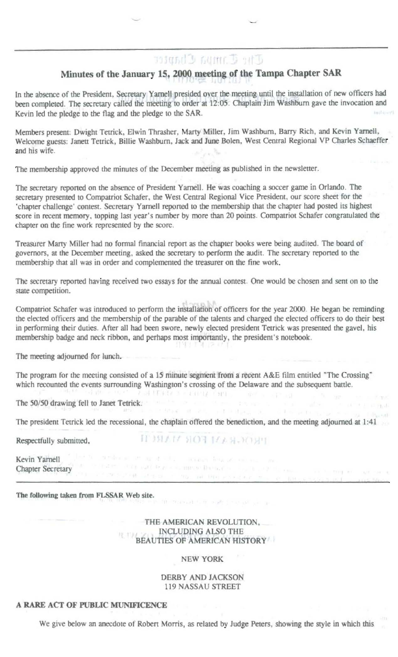# **Minutes of the January 15, 2000 meeting of the Tampa Chapter SAR**

In the absence of the President, Secretary Yarnell presided over the meeting until the installation of new officers had been completed. The secretary called the meeting to order at 12:05. Chaplain Jim Washburn gave the invocation and Kevin led the pledge to the flag and the pledge to the SAR.

Members present: Dwight Tetrick, Elwin Thrasher, Marty Miller, Jim Washburn, Barry Rich, and Kevin Yarnell, Welcome guests: Janett Tetrick, Billie Washburn, Jack and June Bolen, West Central Regional VP Charles Schaeffer and his wife.

The membership approved the minutes of the December meeting as published in the newsletter.

The secretary reported on the absence of President Yarnell. He was coaching a soccer game in Orlando. The secretary presented to Compatriot Schafer, the West Central Regional Vice President, our score sheet for the 'chapter challenge' contest. Secretary Yarnell reported to the membership that the chapter had posted its highest score in recent memory, topping last year's number by more than 20 points. Compatriot Schafer congratulated the chapter on the fine work represented by the score.

Treasurer Marty Miller had no formal financial report as the chapter books were being audited. The board of governors, at the December meeting, asked the secretary to perform the audit. The secretary reported to the membership that all was in order and complemented the treasurer on the fine work.

The secretary reported having received two essays for the annual contest. One would be chosen and sent on to the state competition,

Compatriot Schafer was introduced to perform the installation of officers for the year 2000. He began be reminding the elected officers and the membership of the parable of the talents and charged the elected officers to do their best in performing their duties. After all had been swore, newly elected president Tetrick was presented the gavel, his membership badge and neck ribbon, and perhaps most importantly, the president's notebook.

The meeting adjourned for lunch.

The program for the meeting consisted of a 15 minute segment from a recent A&E film entitled "The Crossing" which recounted the events surrounding Washington's crossing of the Delaware and the subsequent battle.

MARK RESPUT

The 50/50 drawing fell to Janet Tetrick.

The president Tetrick led the recessional, the chaplain offered the benediction, and the meeting adjourned at 1:41

Respectfully submitted,

**NUMBER OF STREET** 

Kevin Yarnell Chapter Secretary

The following taken from FLSSAR Web site.

THE AMERICAN REVOLUTION. INCLUDING ALSO THE BEAUTIES OF AMERICAN HISTORY

NEW YORK

DERBY AND JACKSON 119 NASSAU STREET

#### A RARE ACT OF PUBLIC MUNIFICENCE

We give below an anecdote of Robert Morris, as related by Judge Peters, showing the style in which this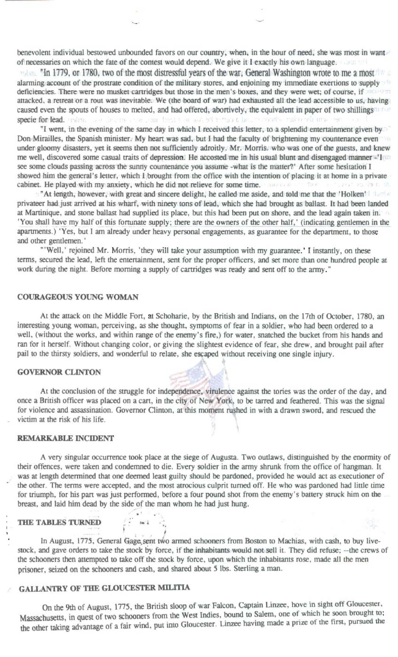benevolent individual bestowed unbounded favors on our country, when, in the hour of need, she was most in want of necessaries on which the fate of the contest would depend. We give it I exactly his own language.

"In 1779, or 1780, two of the most distressful years of the war. General Washington wrote to me a most alarming account of the prostrate condition of the military stores, and enjoining my immediate exertions to supply deficiencies. There were no musket cartridges but those in the men's boxes, and they were wet; of course, if attacked, a retreat or a rout was inevitable. We (the board of war) had exhausted all the lead accessible to us, having caused even the spouts of houses to melted, and had offered, abortively, the equivalent in paper of two shillings specie for lead. Inding the direction that the finished and was of through Clark in conduct radio will must

"I went, in the evening of the same day in which I received this letter, to a splendid entertainment given by Don Mirailles, the Spanish minister. My heart was sad, but I had the faculty of brightening my countenance even under gloomy disasters, yet it seems then not sufficiently adroitly. Mr. Morris. who was one of the guests, and knew me well, discovered some casual traits of depression. He accosted me in his usual blunt and disengaged manner -'1 see some clouds passing across the sunny countenance you assume -what is the matter?' After some hesitation I showed him the general's letter, which I brought from the office with the intention of placing it at home in a private cabinet. He played with my anxiety, which he did not relieve for some time.

"At length, however, with great and sincere delight, he called me aside, and told me that the 'Holken' privateer had just arrived at his wharf, with ninety tons of lead, which she had brought as ballast. It had been landed<br>at Martinique, and stone ballast had supplied its place, but this had been put on shore, and the lead 'You shall have my half of this fortunate supply; there are the owners of the other half,' (indicating gentlemen in the apartments.) 'Yes, but I am already under heavy personal engagements, as guarantee for the department, to those and other gentlemen.'

"'Well,' rejoined Mr. Morris, 'they will take your assumption with my guarantee.' I instantly, on these terms, secured the lead, left the entertainment, sent for the proper officers, and set more than one hundred people at work during the night. Before morning a supply of cartridges was ready and sent off to the army."

#### COURAGEOUS YOUNG WOMAN

At the attack on the Middle Fort, at Schoharie, by the British and Indians, on the 17th of October, 1780, an interesting young woman, perceiving, as she thought, symptoms of fear in a soldier, who had been ordered to a well, (without the works, and within range of the enemy's fire,) for water, snatched the bucket from his hands and ran for it herself. Without changing color, or giving the slightest evidence of fear, she drew, and brought pail after pail to the thirsty soldiers, and wonderful to relate, she escaped without receiving one single injury.

#### **GOVERNOR CLINTON**

At the conclusion of the struggle for independence, virulence against the tories was the order of the day, and once a British officer was placed on a cart, in the city of New York, to be tarred and feathered. This was the signal for violence and assassination. Governor Clinton, at this moment rushed in with a drawn sword, and rescued the victim at the risk of his life.

#### REMARKABLE INCIDENT

A very singular occurrence took place at the siege of Augusta. Two outlaws, distinguished by the enormity of their offences, were taken and condemned to die. Every soldier in the army shrunk from the office of hangman. It was at length determined that one deemed least guilty should be pardoned, provided he would act as executioner of the other. The terms were accepted, and the most atrocious culprit turned off. He who was pardoned had little time for triumph, for his part was just performed, before a four pound shot from the enemy's battery struck him on the breast, and laid him dead by the side of the man whom he had just hung.

#### THE TABLES TURNED

In August, 1775. General Gage sent two armed schooners from Boston to Machias, with cash, to buy livestock, and gave orders to take the stock by force, if the inhabitants would not sell it. They did refuse; --the crews of the schooners then attempted to take off the stock by force, upon which the inhabitants rose, made all the men prisoner, seized on the schooners and cash, and shared about 5 lbs. Sterling a man.

i

### ALLANTRY OF THE GLOUCESTER MILITIA

On the 9th of August, 1775, the British sloop of war Falcon, Captain Linzee, hove in sight off Gloucester, Massachusetts, in quest of two schooners from the West Indies, bound to Salem, one of which he soon brought to; the other taking advantage of a fair wind, put into Gloucester. Linzee having made a prize of the first, pursued the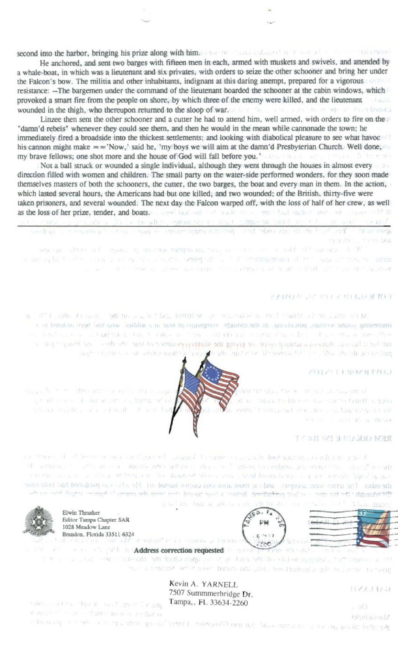second into the harbor, bringing his prize along with him. The material and additional material and an analyzed

He anchored, and sent two barges with fifteen men in each, armed with muskets and swivels, and attended by a whale-boat, in which was a lieutenant and six privates, with orders to seize the other schooner and bring her under the Falcon's bow. The militia and other inhabitants, indignant at this daring attempt, prepared for a vigorous resistance: - The bargemen under the command of the lieutenant boarded the schooner at the cabin windows, which provoked a smart fire from the people on shore, by which three of the enemy were killed, and the lieutenant wounded in the thigh, who thereupon returned to the sloop of war. The state of the state of the state of the state of the state of

Linzee then sent the other schooner and a cutter he had to attend him, well armed, with orders to fire on the "damn'd rebels" whenever they could see them, and then he would in the mean while cannonade the town; he immediately fired a broadside into the thickest settlements; and looking with diabolical pleasure to see what havoc his cannon might make  $=$  = 'Now,' said he, 'my boys we will aim at the damn'd Presbyterian Church. Well done, my brave fellows; one shot more and the house of God will fall before you.' syas li fe man

Not a ball struck or wounded a single individual, although they went through the houses in almost every direction filled with women and children. The small party on the water-side performed wonders, for they soon made themselves masters of both the schooners, the cutter, the two barges, the boat and every man in them. In the action, which lasted several hours, the Americans had but one killed, and two wounded; of the British, thirty-five were taken prisoners, and several wounded. The next day the Falcon warped off, with the loss of half of her crew, as well as the loss of her prize, tender, and boats. Lever bull and the bould structure that leads the more and sound of the about the collection of the company of the collection of the collection of the collection of apart of the Pies. Set it an alleged the search interest and many states of animals and search of design the well (ii)

Portugal Line and Display

weakness. There is the example of the properties and the second state of the second of the second of the second state of the second state of the second state of the second state of the second state of the second state of and service and perfect to international site and support of the property of the control of the service of persons all and in it to be player and with the could be a sit from it itself. Sit that military and

#### **AND RESERVED AND NO TO A REPORT**

in 1979 and Armour, officially the same in the second of the control stands of the starts wilded interesting young weising perceiving, as the concept is vingnores to a solidae, who had been analyzed in a the mass of a computation of the Company of the company of the company of the company of the company of the tail by the country when a settlement or giving the shipping of the other of the disc and the mail the state of and a change of the control of a control of the state of the state of the control of the control of the time

#### **ZOLZSTEROZSENOJ**

An income cars in the second cars in the nding them by lower one returns denote a pone 6. centre" à consumer a l'erre approven hancoursquist ent where it note of the detector



the figure of an income show that the company of a summer the company of the figure of the figure of the property of the M. Arminical care and a compromised in solid a solid when becomes an instruction asset to man and as a show enterprise to about the sole and because of the control of the state of the state of the state the other. The terms were accepted and the most areas cosen torred out. He who was particlered had middled the country the country of the productions and the south of the recountry the entirety in high-term coupled to the country of the is to loten built as after the right off per decoders of them are to be latent trans-



Editor Tampa Chapter SAR 1028 Meadow Lane

case in the month of the service of the main

major administrative and a large security of a structure of a structure

this has been and a seriously show it had



**Address correction requested and a many contract of the Address correction requested** He article and in this in a social setting the technically hard of morph you at one off of the solution materials. The signess of setting the this terms and a subsequence and under the stamped as well as a series than any

 $1161.11(1)$ 

**BROTTWING!** 

 $-100$ 

Kevin A. YARNELL 7507 Summmerbridge Dr. Tampa,, FL 33634-2260

post and the the it meet great point it in a state to so that it is a con-

in Booking the engineering in the group second term in entry only our man factor of the construction for the page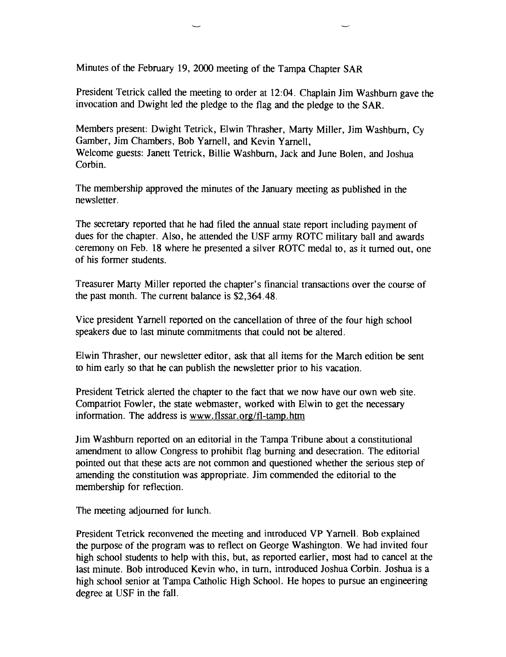Minutes of the February 19, 2000 meeting of the Tampa Chapter SAR

President Tetrick called the meeting to order at 12:04. Chaplain Jim Washburn gave the invocation and Dwight led the pledge to the flag and the pledge to the SAR.

Members present: Dwight Tetrick, Elwin Thrasher, Marty Miller, Jim Washburn, Cy Gamber, Jim Chambers, Bob Yarnell, and Kevin Yarnell, Welcome guests: Janett Tetrick, Billie Washburn, Jack and June Bolen, and Joshua Corbin.

The membership approved the minutes of the January meeting as published in the newsletter.

The secretary reported that he had filed the annual state report including payment of dues for the chapter. Also, he attended the USF army ROTC military ball and awards ceremony on Feb. 18 where he presented a silver ROTC medal to, as it turned out, one of his former students.

Treasurer Marty Miller reported the chapter's financial transactions over the course of the past month. The current balance is \$2,364.48.

Vice president Yarnell reported on the cancellation of three of the four high school speakers due to last minute commitments that could not be altered.

Elwin Thrasher, our newsletter editor, ask that all items for the March edition be sent to him early so that he can publish the newsletter prior to his vacation.

President Tetrick alerted the chapter to the fact that we now have our own web site. Compatriot Fowler, the state webmaster, worked with Elwin to get the necessary information. The address is www.flssar.org/fl-tamp.htm

Jim Washburn reported on an editorial in the Tampa Tribune about a constitutional amendment to allow Congress to prohibit flag burning and desecration. The editorial pointed out that these acts are not common and questioned whether the serious step of amending the constitution was appropriate. Jim commended the editorial to the membership for reflection.

The meeting adjourned for lunch.

President Tetrick reconvened the meeting and introduced VP Yarnell. Bob explained the purpose of the program was to reflect on George Washington. We had invited four high school students to help with this, but, as reported earlier, most had to cancel at the last minute. Bob introduced Kevin who, in tum, introduced Joshua Corbin. Joshua is a high school senior at Tampa Catholic High School. He hopes to pursue an engineering degree at USF in the fall.